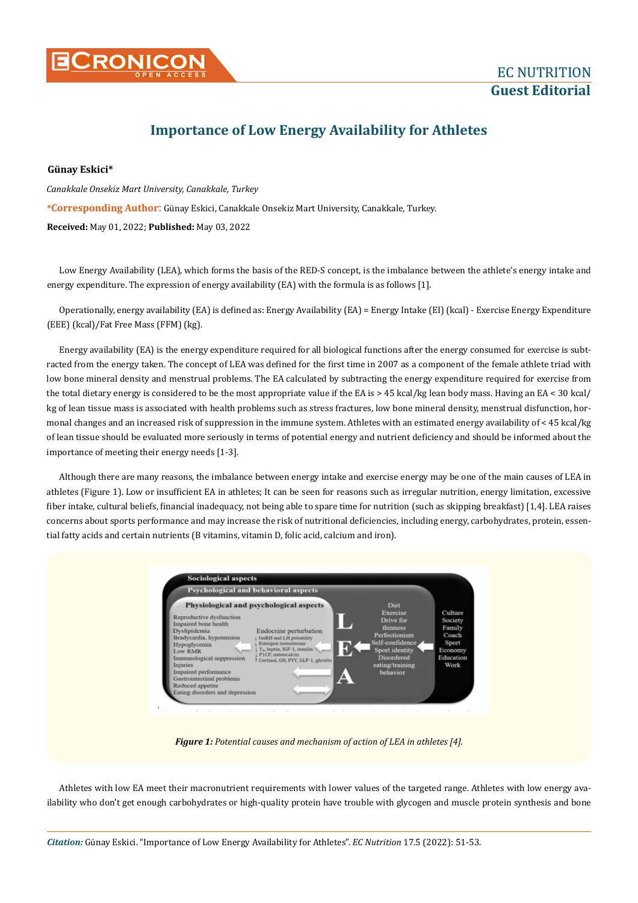

## **Importance of Low Energy Availability for Athletes**

## **Günay Eskici\***

**\*Corresponding Author**: Günay Eskici, Canakkale Onsekiz Mart University, Canakkale, Turkey. **Received:** May 01, 2022; **Published:** May 03, 2022 *Canakkale Onsekiz Mart University, Canakkale, Turkey*

Low Energy Availability (LEA), which forms the basis of the RED-S concept, is the imbalance between the athlete's energy intake and energy expenditure. The expression of energy availability (EA) with the formula is as follows [1].

Operationally, energy availability (EA) is defined as: Energy Availability (EA) = Energy Intake (EI) (kcal) - Exercise Energy Expenditure (EEE) (kcal)/Fat Free Mass (FFM) (kg).

Energy availability (EA) is the energy expenditure required for all biological functions after the energy consumed for exercise is subtracted from the energy taken. The concept of LEA was defined for the first time in 2007 as a component of the female athlete triad with low bone mineral density and menstrual problems. The EA calculated by subtracting the energy expenditure required for exercise from the total dietary energy is considered to be the most appropriate value if the EA is > 45 kcal/kg lean body mass. Having an EA < 30 kcal/ kg of lean tissue mass is associated with health problems such as stress fractures, low bone mineral density, menstrual disfunction, hormonal changes and an increased risk of suppression in the immune system. Athletes with an estimated energy availability of < 45 kcal/kg of lean tissue should be evaluated more seriously in terms of potential energy and nutrient deficiency and should be informed about the importance of meeting their energy needs [1-3].

Although there are many reasons, the imbalance between energy intake and exercise energy may be one of the main causes of LEA in athletes (Figure 1). Low or insufficient EA in athletes; It can be seen for reasons such as irregular nutrition, energy limitation, excessive fiber intake, cultural beliefs, financial inadequacy, not being able to spare time for nutrition (such as skipping breakfast) [1,4]. LEA raises concerns about sports performance and may increase the risk of nutritional deficiencies, including energy, carbohydrates, protein, essential fatty acids and certain nutrients (B vitamins, vitamin D, folic acid, calcium and iron).



*Figure 1: Potential causes and mechanism of action of LEA in athletes [4].*

Athletes with low EA meet their macronutrient requirements with lower values of the targeted range. Athletes with low energy availability who don't get enough carbohydrates or high-quality protein have trouble with glycogen and muscle protein synthesis and bone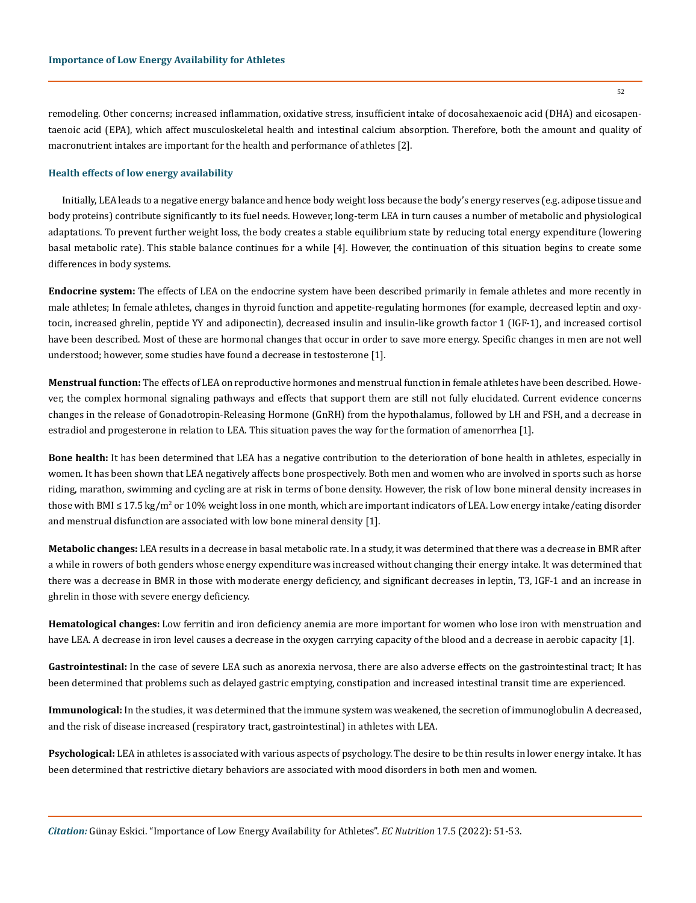remodeling. Other concerns; increased inflammation, oxidative stress, insufficient intake of docosahexaenoic acid (DHA) and eicosapentaenoic acid (EPA), which affect musculoskeletal health and intestinal calcium absorption. Therefore, both the amount and quality of macronutrient intakes are important for the health and performance of athletes [2].

## **Health effects of low energy availability**

Initially, LEA leads to a negative energy balance and hence body weight loss because the body's energy reserves (e.g. adipose tissue and body proteins) contribute significantly to its fuel needs. However, long-term LEA in turn causes a number of metabolic and physiological adaptations. To prevent further weight loss, the body creates a stable equilibrium state by reducing total energy expenditure (lowering basal metabolic rate). This stable balance continues for a while [4]. However, the continuation of this situation begins to create some differences in body systems.

**Endocrine system:** The effects of LEA on the endocrine system have been described primarily in female athletes and more recently in male athletes; In female athletes, changes in thyroid function and appetite-regulating hormones (for example, decreased leptin and oxytocin, increased ghrelin, peptide YY and adiponectin), decreased insulin and insulin-like growth factor 1 (IGF-1), and increased cortisol have been described. Most of these are hormonal changes that occur in order to save more energy. Specific changes in men are not well understood; however, some studies have found a decrease in testosterone [1].

**Menstrual function:** The effects of LEA on reproductive hormones and menstrual function in female athletes have been described. However, the complex hormonal signaling pathways and effects that support them are still not fully elucidated. Current evidence concerns changes in the release of Gonadotropin-Releasing Hormone (GnRH) from the hypothalamus, followed by LH and FSH, and a decrease in estradiol and progesterone in relation to LEA. This situation paves the way for the formation of amenorrhea [1].

**Bone health:** It has been determined that LEA has a negative contribution to the deterioration of bone health in athletes, especially in women. It has been shown that LEA negatively affects bone prospectively. Both men and women who are involved in sports such as horse riding, marathon, swimming and cycling are at risk in terms of bone density. However, the risk of low bone mineral density increases in those with BMI ≤ 17.5 kg/m² or 10% weight loss in one month, which are important indicators of LEA. Low energy intake/eating disorder and menstrual disfunction are associated with low bone mineral density [1].

**Metabolic changes:** LEA results in a decrease in basal metabolic rate. In a study, it was determined that there was a decrease in BMR after a while in rowers of both genders whose energy expenditure was increased without changing their energy intake. It was determined that there was a decrease in BMR in those with moderate energy deficiency, and significant decreases in leptin, T3, IGF-1 and an increase in ghrelin in those with severe energy deficiency.

**Hematological changes:** Low ferritin and iron deficiency anemia are more important for women who lose iron with menstruation and have LEA. A decrease in iron level causes a decrease in the oxygen carrying capacity of the blood and a decrease in aerobic capacity [1].

**Gastrointestinal:** In the case of severe LEA such as anorexia nervosa, there are also adverse effects on the gastrointestinal tract; It has been determined that problems such as delayed gastric emptying, constipation and increased intestinal transit time are experienced.

**Immunological:** In the studies, it was determined that the immune system was weakened, the secretion of immunoglobulin A decreased, and the risk of disease increased (respiratory tract, gastrointestinal) in athletes with LEA.

**Psychological:** LEA in athletes is associated with various aspects of psychology. The desire to be thin results in lower energy intake. It has been determined that restrictive dietary behaviors are associated with mood disorders in both men and women.

52